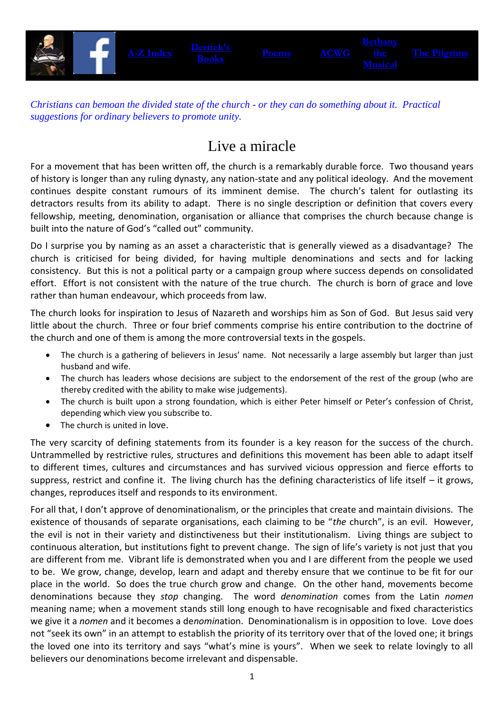

*Christians can bemoan the divided state of the church - or they can do something about it. Practical suggestions for ordinary believers to promote unity.*

## Live a miracle

For a movement that has been written off, the church is a remarkably durable force. Two thousand years of history is longer than any ruling dynasty, any nation-state and any political ideology. And the movement continues despite constant rumours of its imminent demise. The church's talent for outlasting its detractors results from its ability to adapt. There is no single description or definition that covers every fellowship, meeting, denomination, organisation or alliance that comprises the church because change is built into the nature of God's "called out" community.

Do I surprise you by naming as an asset a characteristic that is generally viewed as a disadvantage? The church is criticised for being divided, for having multiple denominations and sects and for lacking consistency. But this is not a political party or a campaign group where success depends on consolidated effort. Effort is not consistent with the nature of the true church. The church is born of grace and love rather than human endeavour, which proceeds from law.

The church looks for inspiration to Jesus of Nazareth and worships him as Son of God. But Jesus said very little about the church. Three or four brief comments comprise his entire contribution to the doctrine of the church and one of them is among the more controversial texts in the gospels.

- The church is a gathering of believers in Jesus' name. Not necessarily a large assembly but larger than just husband and wife.
- The church has leaders whose decisions are subject to the endorsement of the rest of the group (who are thereby credited with the ability to make wise judgements).
- The church is built upon a strong foundation, which is either Peter himself or Peter's confession of Christ, depending which view you subscribe to.
- The church is united in love.

The very scarcity of defining statements from its founder is a key reason for the success of the church. Untrammelled by restrictive rules, structures and definitions this movement has been able to adapt itself to different times, cultures and circumstances and has survived vicious oppression and fierce efforts to suppress, restrict and confine it. The living church has the defining characteristics of life itself – it grows, changes, reproduces itself and responds to its environment.

For all that, I don't approve of denominationalism, or the principles that create and maintain divisions. The existence of thousands of separate organisations, each claiming to be "*the* church", is an evil. However, the evil is not in their variety and distinctiveness but their institutionalism. Living things are subject to continuous alteration, but institutions fight to prevent change. The sign of life's variety is not just that you are different from me. Vibrant life is demonstrated when you and I are different from the people we used to be. We grow, change, develop, learn and adapt and thereby ensure that we continue to be fit for our place in the world. So does the true church grow and change. On the other hand, movements become denominations because they *stop* changing. The word *denomination* comes from the Latin *nomen* meaning name; when a movement stands still long enough to have recognisable and fixed characteristics we give it a *nomen* and it becomes a de*nomin*ation. Denominationalism is in opposition to love. Love does not "seek its own" in an attempt to establish the priority of its territory over that of the loved one; it brings the loved one into its territory and says "what's mine is yours". When we seek to relate lovingly to all believers our denominations become irrelevant and dispensable.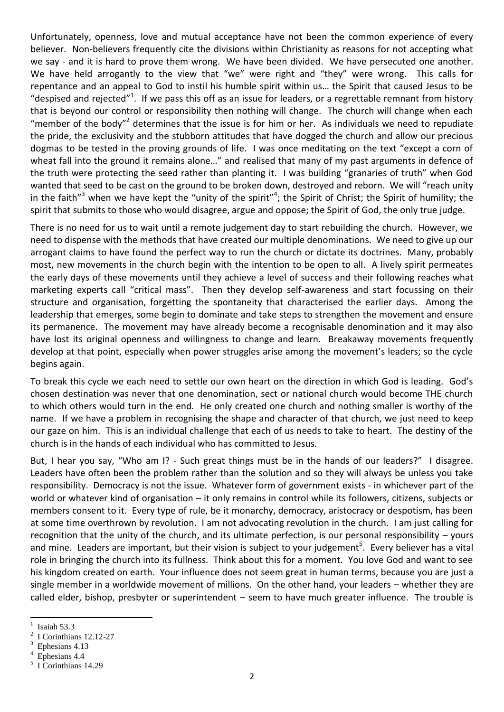Unfortunately, openness, love and mutual acceptance have not been the common experience of every believer. Non-believers frequently cite the divisions within Christianity as reasons for not accepting what we say - and it is hard to prove them wrong. We have been divided. We have persecuted one another. We have held arrogantly to the view that "we" were right and "they" were wrong. This calls for repentance and an appeal to God to instil his humble spirit within us… the Spirit that caused Jesus to be "despised and rejected"<sup>1</sup>. If we pass this off as an issue for leaders, or a regrettable remnant from history that is beyond our control or responsibility then nothing will change. The church will change when each "member of the body"<sup>2</sup> determines that the issue is for him or her. As individuals we need to repudiate the pride, the exclusivity and the stubborn attitudes that have dogged the church and allow our precious dogmas to be tested in the proving grounds of life. I was once meditating on the text "except a corn of wheat fall into the ground it remains alone…" and realised that many of my past arguments in defence of the truth were protecting the seed rather than planting it. I was building "granaries of truth" when God wanted that seed to be cast on the ground to be broken down, destroyed and reborn. We will "reach unity in the faith"<sup>3</sup> when we have kept the "unity of the spirit"<sup>4</sup>; the Spirit of Christ; the Spirit of humility; the spirit that submits to those who would disagree, argue and oppose; the Spirit of God, the only true judge.

There is no need for us to wait until a remote judgement day to start rebuilding the church. However, we need to dispense with the methods that have created our multiple denominations. We need to give up our arrogant claims to have found the perfect way to run the church or dictate its doctrines. Many, probably most, new movements in the church begin with the intention to be open to all. A lively spirit permeates the early days of these movements until they achieve a level of success and their following reaches what marketing experts call "critical mass". Then they develop self-awareness and start focussing on their structure and organisation, forgetting the spontaneity that characterised the earlier days. Among the leadership that emerges, some begin to dominate and take steps to strengthen the movement and ensure its permanence. The movement may have already become a recognisable denomination and it may also have lost its original openness and willingness to change and learn. Breakaway movements frequently develop at that point, especially when power struggles arise among the movement's leaders; so the cycle begins again.

To break this cycle we each need to settle our own heart on the direction in which God is leading. God's chosen destination was never that one denomination, sect or national church would become THE church to which others would turn in the end. He only created one church and nothing smaller is worthy of the name. If we have a problem in recognising the shape and character of that church, we just need to keep our gaze on him. This is an individual challenge that each of us needs to take to heart. The destiny of the church is in the hands of each individual who has committed to Jesus.

But, I hear you say, "Who am I? - Such great things must be in the hands of our leaders?" I disagree. Leaders have often been the problem rather than the solution and so they will always be unless you take responsibility. Democracy is not the issue. Whatever form of government exists - in whichever part of the world or whatever kind of organisation – it only remains in control while its followers, citizens, subjects or members consent to it. Every type of rule, be it monarchy, democracy, aristocracy or despotism, has been at some time overthrown by revolution. I am not advocating revolution in the church. I am just calling for recognition that the unity of the church, and its ultimate perfection, is our personal responsibility – yours and mine. Leaders are important, but their vision is subject to your judgement<sup>5</sup>. Every believer has a vital role in bringing the church into its fullness. Think about this for a moment. You love God and want to see his kingdom created on earth. Your influence does not seem great in human terms, because you are just a single member in a worldwide movement of millions. On the other hand, your leaders – whether they are called elder, bishop, presbyter or superintendent – seem to have much greater influence. The trouble is

 $\frac{1}{1}$ Isaiah 53.3

<sup>2</sup> I Corinthians 12.12-27

<sup>3</sup> Ephesians 4.13

<sup>4</sup> Ephesians 4.4

<sup>&</sup>lt;sup>5</sup> I Corinthians 14.29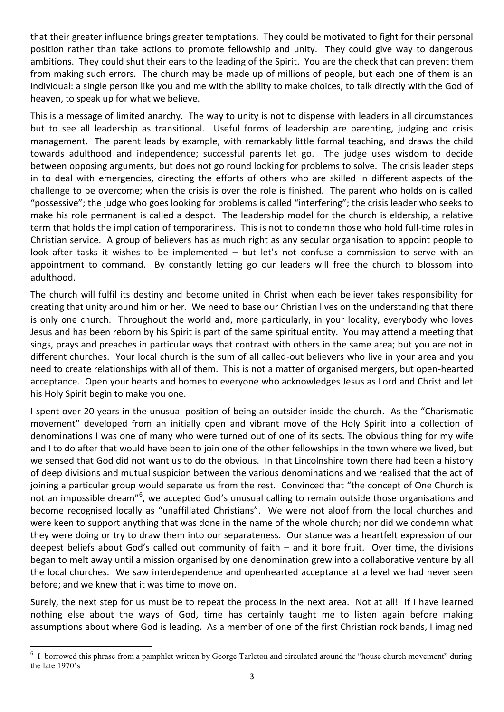that their greater influence brings greater temptations. They could be motivated to fight for their personal position rather than take actions to promote fellowship and unity. They could give way to dangerous ambitions. They could shut their ears to the leading of the Spirit. You are the check that can prevent them from making such errors. The church may be made up of millions of people, but each one of them is an individual: a single person like you and me with the ability to make choices, to talk directly with the God of heaven, to speak up for what we believe.

This is a message of limited anarchy. The way to unity is not to dispense with leaders in all circumstances but to see all leadership as transitional. Useful forms of leadership are parenting, judging and crisis management. The parent leads by example, with remarkably little formal teaching, and draws the child towards adulthood and independence; successful parents let go. The judge uses wisdom to decide between opposing arguments, but does not go round looking for problems to solve. The crisis leader steps in to deal with emergencies, directing the efforts of others who are skilled in different aspects of the challenge to be overcome; when the crisis is over the role is finished. The parent who holds on is called "possessive"; the judge who goes looking for problems is called "interfering"; the crisis leader who seeks to make his role permanent is called a despot. The leadership model for the church is eldership, a relative term that holds the implication of temporariness. This is not to condemn those who hold full-time roles in Christian service. A group of believers has as much right as any secular organisation to appoint people to look after tasks it wishes to be implemented – but let's not confuse a commission to serve with an appointment to command. By constantly letting go our leaders will free the church to blossom into adulthood.

The church will fulfil its destiny and become united in Christ when each believer takes responsibility for creating that unity around him or her. We need to base our Christian lives on the understanding that there is only one church. Throughout the world and, more particularly, in your locality, everybody who loves Jesus and has been reborn by his Spirit is part of the same spiritual entity. You may attend a meeting that sings, prays and preaches in particular ways that contrast with others in the same area; but you are not in different churches. Your local church is the sum of all called-out believers who live in your area and you need to create relationships with all of them. This is not a matter of organised mergers, but open-hearted acceptance. Open your hearts and homes to everyone who acknowledges Jesus as Lord and Christ and let his Holy Spirit begin to make you one.

I spent over 20 years in the unusual position of being an outsider inside the church. As the "Charismatic movement" developed from an initially open and vibrant move of the Holy Spirit into a collection of denominations I was one of many who were turned out of one of its sects. The obvious thing for my wife and I to do after that would have been to join one of the other fellowships in the town where we lived, but we sensed that God did not want us to do the obvious. In that Lincolnshire town there had been a history of deep divisions and mutual suspicion between the various denominations and we realised that the act of joining a particular group would separate us from the rest. Convinced that "the concept of One Church is not an impossible dream"<sup>6</sup>, we accepted God's unusual calling to remain outside those organisations and become recognised locally as "unaffiliated Christians". We were not aloof from the local churches and were keen to support anything that was done in the name of the whole church; nor did we condemn what they were doing or try to draw them into our separateness. Our stance was a heartfelt expression of our deepest beliefs about God's called out community of faith – and it bore fruit. Over time, the divisions began to melt away until a mission organised by one denomination grew into a collaborative venture by all the local churches. We saw interdependence and openhearted acceptance at a level we had never seen before; and we knew that it was time to move on.

Surely, the next step for us must be to repeat the process in the next area. Not at all! If I have learned nothing else about the ways of God, time has certainly taught me to listen again before making assumptions about where God is leading. As a member of one of the first Christian rock bands, I imagined

**<sup>.</sup>**  $6\,$  I borrowed this phrase from a pamphlet written by George Tarleton and circulated around the "house church movement" during the late 1970's